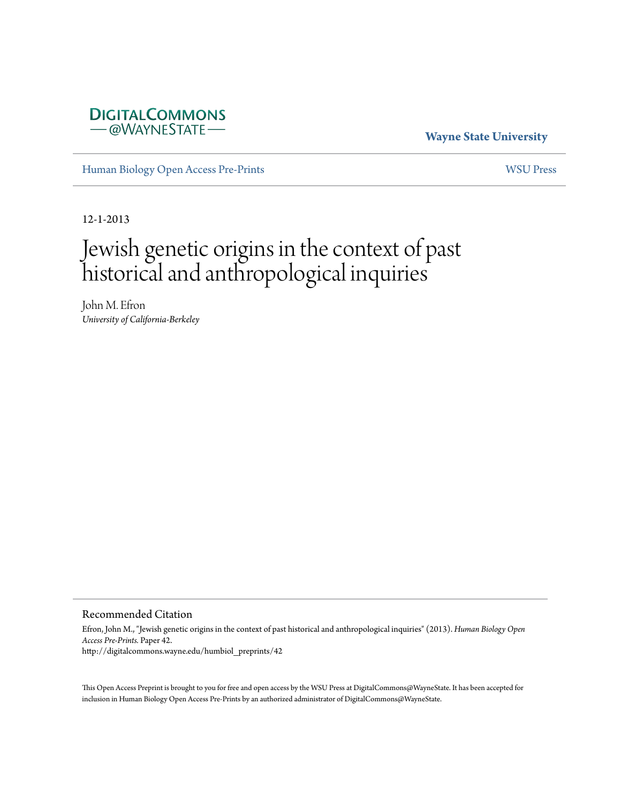

## **Wayne State University**

[Human Biology Open Access Pre-Prints](http://digitalcommons.wayne.edu/humbiol_preprints) [WSU Press](http://digitalcommons.wayne.edu/wsupress)

12-1-2013

# Jewish genetic origins in the context of past historical and anthropological inquiries

John M. Efron *University of California-Berkeley*

#### Recommended Citation

Efron, John M., "Jewish genetic origins in the context of past historical and anthropological inquiries" (2013). *Human Biology Open Access Pre-Prints.* Paper 42. http://digitalcommons.wayne.edu/humbiol\_preprints/42

This Open Access Preprint is brought to you for free and open access by the WSU Press at DigitalCommons@WayneState. It has been accepted for inclusion in Human Biology Open Access Pre-Prints by an authorized administrator of DigitalCommons@WayneState.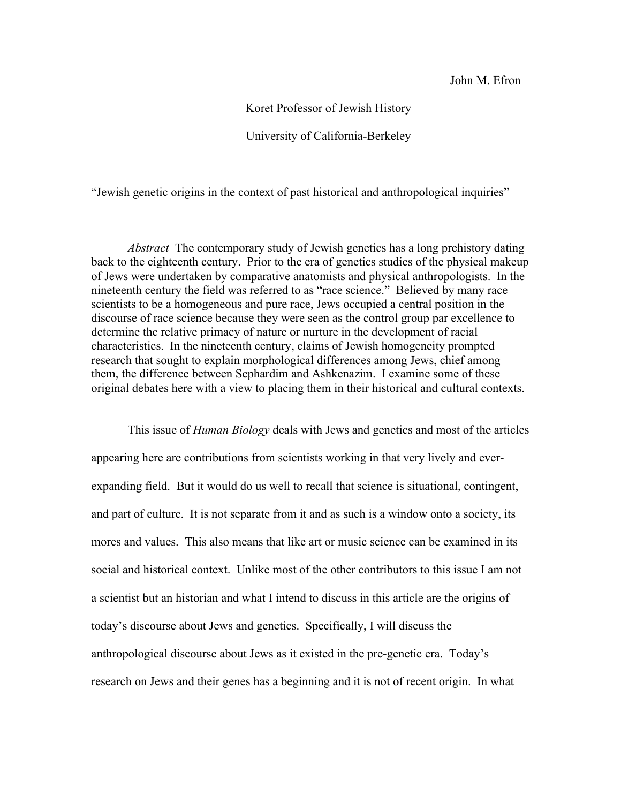John M. Efron

Koret Professor of Jewish History

University of California-Berkeley

"Jewish genetic origins in the context of past historical and anthropological inquiries"

*Abstract* The contemporary study of Jewish genetics has a long prehistory dating back to the eighteenth century. Prior to the era of genetics studies of the physical makeup of Jews were undertaken by comparative anatomists and physical anthropologists. In the nineteenth century the field was referred to as "race science." Believed by many race scientists to be a homogeneous and pure race, Jews occupied a central position in the discourse of race science because they were seen as the control group par excellence to determine the relative primacy of nature or nurture in the development of racial characteristics. In the nineteenth century, claims of Jewish homogeneity prompted research that sought to explain morphological differences among Jews, chief among them, the difference between Sephardim and Ashkenazim. I examine some of these original debates here with a view to placing them in their historical and cultural contexts.

This issue of *Human Biology* deals with Jews and genetics and most of the articles appearing here are contributions from scientists working in that very lively and everexpanding field. But it would do us well to recall that science is situational, contingent, and part of culture. It is not separate from it and as such is a window onto a society, its mores and values. This also means that like art or music science can be examined in its social and historical context. Unlike most of the other contributors to this issue I am not a scientist but an historian and what I intend to discuss in this article are the origins of today's discourse about Jews and genetics. Specifically, I will discuss the anthropological discourse about Jews as it existed in the pre-genetic era. Today's research on Jews and their genes has a beginning and it is not of recent origin. In what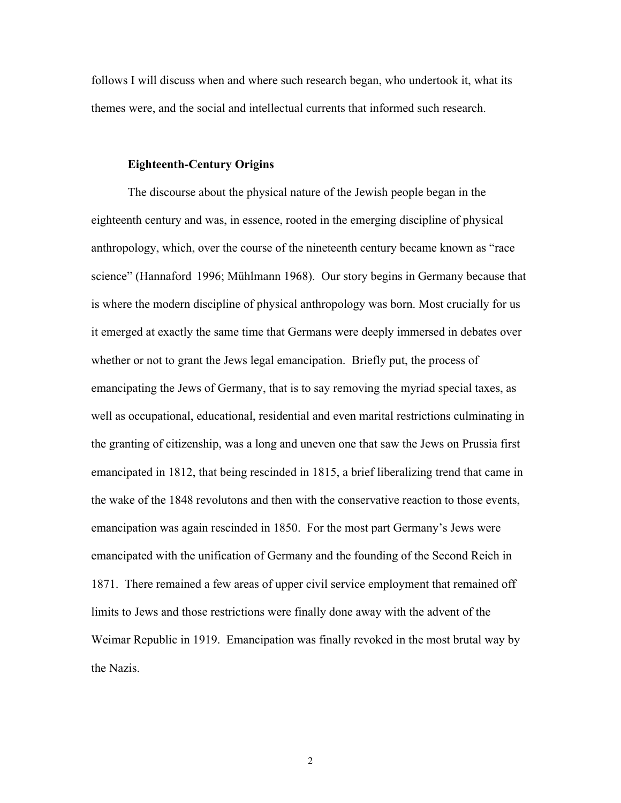follows I will discuss when and where such research began, who undertook it, what its themes were, and the social and intellectual currents that informed such research.

#### **Eighteenth-Century Origins**

The discourse about the physical nature of the Jewish people began in the eighteenth century and was, in essence, rooted in the emerging discipline of physical anthropology, which, over the course of the nineteenth century became known as "race science" (Hannaford 1996; Mühlmann 1968). Our story begins in Germany because that is where the modern discipline of physical anthropology was born. Most crucially for us it emerged at exactly the same time that Germans were deeply immersed in debates over whether or not to grant the Jews legal emancipation. Briefly put, the process of emancipating the Jews of Germany, that is to say removing the myriad special taxes, as well as occupational, educational, residential and even marital restrictions culminating in the granting of citizenship, was a long and uneven one that saw the Jews on Prussia first emancipated in 1812, that being rescinded in 1815, a brief liberalizing trend that came in the wake of the 1848 revolutons and then with the conservative reaction to those events, emancipation was again rescinded in 1850. For the most part Germany's Jews were emancipated with the unification of Germany and the founding of the Second Reich in 1871. There remained a few areas of upper civil service employment that remained off limits to Jews and those restrictions were finally done away with the advent of the Weimar Republic in 1919. Emancipation was finally revoked in the most brutal way by the Nazis.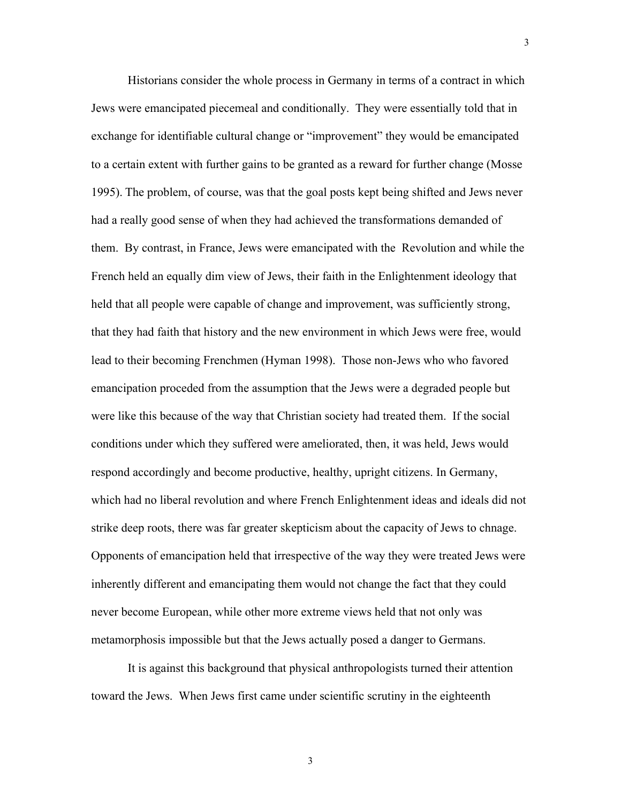Historians consider the whole process in Germany in terms of a contract in which Jews were emancipated piecemeal and conditionally. They were essentially told that in exchange for identifiable cultural change or "improvement" they would be emancipated to a certain extent with further gains to be granted as a reward for further change (Mosse 1995). The problem, of course, was that the goal posts kept being shifted and Jews never had a really good sense of when they had achieved the transformations demanded of them. By contrast, in France, Jews were emancipated with the Revolution and while the French held an equally dim view of Jews, their faith in the Enlightenment ideology that held that all people were capable of change and improvement, was sufficiently strong, that they had faith that history and the new environment in which Jews were free, would lead to their becoming Frenchmen (Hyman 1998). Those non-Jews who who favored emancipation proceded from the assumption that the Jews were a degraded people but were like this because of the way that Christian society had treated them. If the social conditions under which they suffered were ameliorated, then, it was held, Jews would respond accordingly and become productive, healthy, upright citizens. In Germany, which had no liberal revolution and where French Enlightenment ideas and ideals did not strike deep roots, there was far greater skepticism about the capacity of Jews to chnage. Opponents of emancipation held that irrespective of the way they were treated Jews were inherently different and emancipating them would not change the fact that they could never become European, while other more extreme views held that not only was metamorphosis impossible but that the Jews actually posed a danger to Germans.

3

It is against this background that physical anthropologists turned their attention toward the Jews. When Jews first came under scientific scrutiny in the eighteenth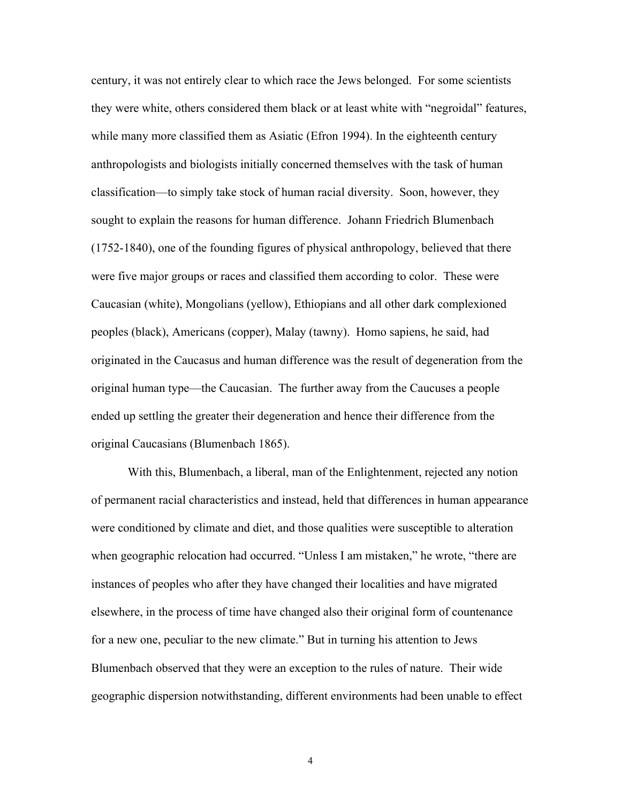century, it was not entirely clear to which race the Jews belonged. For some scientists they were white, others considered them black or at least white with "negroidal" features, while many more classified them as Asiatic (Efron 1994). In the eighteenth century anthropologists and biologists initially concerned themselves with the task of human classification—to simply take stock of human racial diversity. Soon, however, they sought to explain the reasons for human difference. Johann Friedrich Blumenbach (1752-1840), one of the founding figures of physical anthropology, believed that there were five major groups or races and classified them according to color. These were Caucasian (white), Mongolians (yellow), Ethiopians and all other dark complexioned peoples (black), Americans (copper), Malay (tawny). Homo sapiens, he said, had originated in the Caucasus and human difference was the result of degeneration from the original human type—the Caucasian. The further away from the Caucuses a people ended up settling the greater their degeneration and hence their difference from the original Caucasians (Blumenbach 1865).

With this, Blumenbach, a liberal, man of the Enlightenment, rejected any notion of permanent racial characteristics and instead, held that differences in human appearance were conditioned by climate and diet, and those qualities were susceptible to alteration when geographic relocation had occurred. "Unless I am mistaken," he wrote, "there are instances of peoples who after they have changed their localities and have migrated elsewhere, in the process of time have changed also their original form of countenance for a new one, peculiar to the new climate." But in turning his attention to Jews Blumenbach observed that they were an exception to the rules of nature. Their wide geographic dispersion notwithstanding, different environments had been unable to effect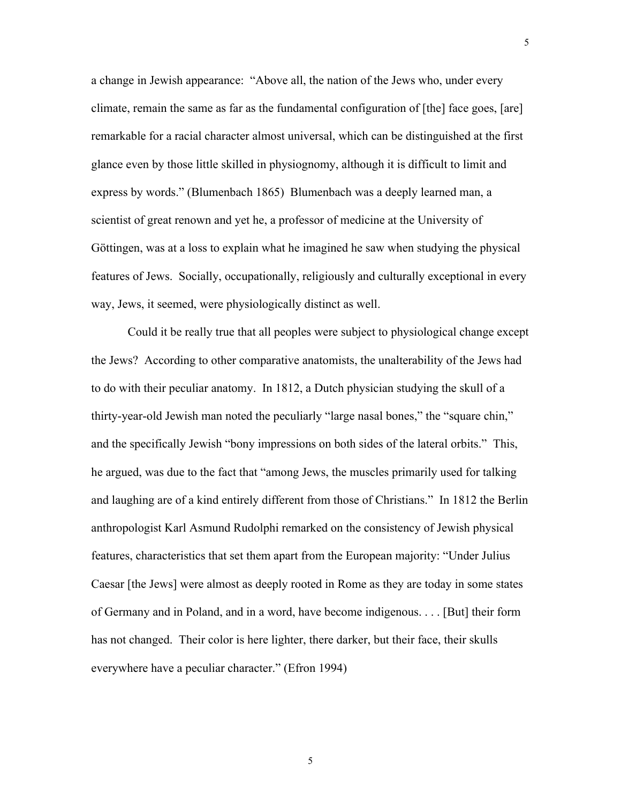a change in Jewish appearance: "Above all, the nation of the Jews who, under every climate, remain the same as far as the fundamental configuration of [the] face goes, [are] remarkable for a racial character almost universal, which can be distinguished at the first glance even by those little skilled in physiognomy, although it is difficult to limit and express by words." (Blumenbach 1865) Blumenbach was a deeply learned man, a scientist of great renown and yet he, a professor of medicine at the University of Göttingen, was at a loss to explain what he imagined he saw when studying the physical features of Jews. Socially, occupationally, religiously and culturally exceptional in every way, Jews, it seemed, were physiologically distinct as well.

Could it be really true that all peoples were subject to physiological change except the Jews? According to other comparative anatomists, the unalterability of the Jews had to do with their peculiar anatomy. In 1812, a Dutch physician studying the skull of a thirty-year-old Jewish man noted the peculiarly "large nasal bones," the "square chin," and the specifically Jewish "bony impressions on both sides of the lateral orbits." This, he argued, was due to the fact that "among Jews, the muscles primarily used for talking and laughing are of a kind entirely different from those of Christians." In 1812 the Berlin anthropologist Karl Asmund Rudolphi remarked on the consistency of Jewish physical features, characteristics that set them apart from the European majority: "Under Julius Caesar [the Jews] were almost as deeply rooted in Rome as they are today in some states of Germany and in Poland, and in a word, have become indigenous. . . . [But] their form has not changed. Their color is here lighter, there darker, but their face, their skulls everywhere have a peculiar character." (Efron 1994)

5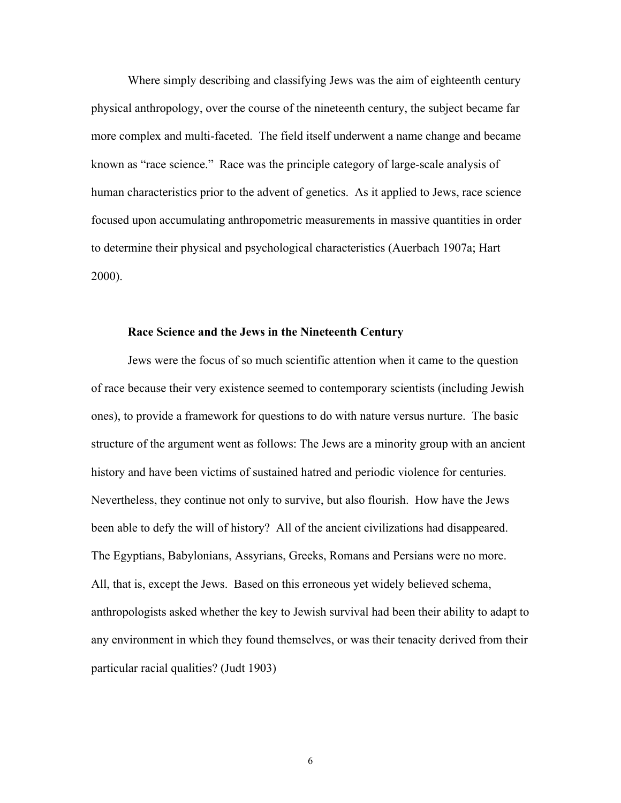Where simply describing and classifying Jews was the aim of eighteenth century physical anthropology, over the course of the nineteenth century, the subject became far more complex and multi-faceted. The field itself underwent a name change and became known as "race science." Race was the principle category of large-scale analysis of human characteristics prior to the advent of genetics. As it applied to Jews, race science focused upon accumulating anthropometric measurements in massive quantities in order to determine their physical and psychological characteristics (Auerbach 1907a; Hart 2000).

#### **Race Science and the Jews in the Nineteenth Century**

Jews were the focus of so much scientific attention when it came to the question of race because their very existence seemed to contemporary scientists (including Jewish ones), to provide a framework for questions to do with nature versus nurture. The basic structure of the argument went as follows: The Jews are a minority group with an ancient history and have been victims of sustained hatred and periodic violence for centuries. Nevertheless, they continue not only to survive, but also flourish. How have the Jews been able to defy the will of history? All of the ancient civilizations had disappeared. The Egyptians, Babylonians, Assyrians, Greeks, Romans and Persians were no more. All, that is, except the Jews. Based on this erroneous yet widely believed schema, anthropologists asked whether the key to Jewish survival had been their ability to adapt to any environment in which they found themselves, or was their tenacity derived from their particular racial qualities? (Judt 1903)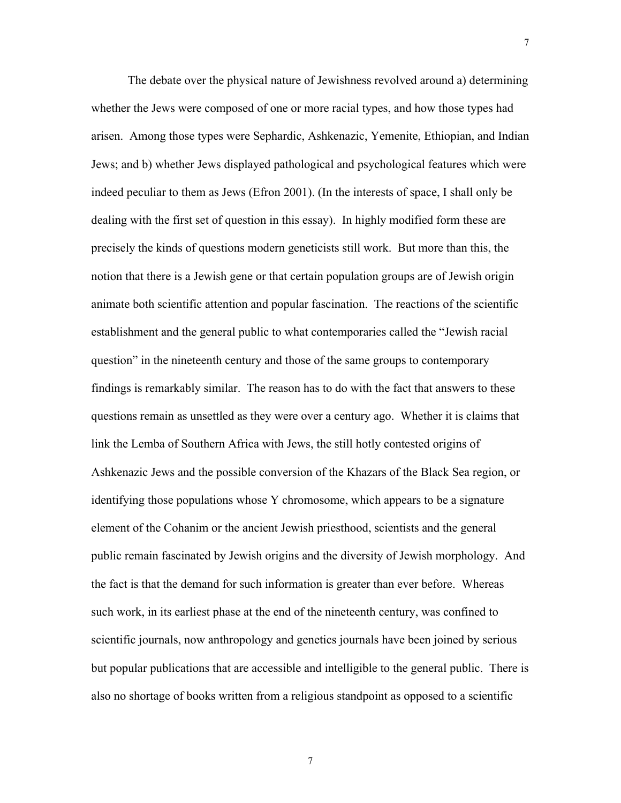The debate over the physical nature of Jewishness revolved around a) determining whether the Jews were composed of one or more racial types, and how those types had arisen. Among those types were Sephardic, Ashkenazic, Yemenite, Ethiopian, and Indian Jews; and b) whether Jews displayed pathological and psychological features which were indeed peculiar to them as Jews (Efron 2001). (In the interests of space, I shall only be dealing with the first set of question in this essay). In highly modified form these are precisely the kinds of questions modern geneticists still work. But more than this, the notion that there is a Jewish gene or that certain population groups are of Jewish origin animate both scientific attention and popular fascination. The reactions of the scientific establishment and the general public to what contemporaries called the "Jewish racial question" in the nineteenth century and those of the same groups to contemporary findings is remarkably similar. The reason has to do with the fact that answers to these questions remain as unsettled as they were over a century ago. Whether it is claims that link the Lemba of Southern Africa with Jews, the still hotly contested origins of Ashkenazic Jews and the possible conversion of the Khazars of the Black Sea region, or identifying those populations whose Y chromosome, which appears to be a signature element of the Cohanim or the ancient Jewish priesthood, scientists and the general public remain fascinated by Jewish origins and the diversity of Jewish morphology. And the fact is that the demand for such information is greater than ever before. Whereas such work, in its earliest phase at the end of the nineteenth century, was confined to scientific journals, now anthropology and genetics journals have been joined by serious but popular publications that are accessible and intelligible to the general public. There is also no shortage of books written from a religious standpoint as opposed to a scientific

7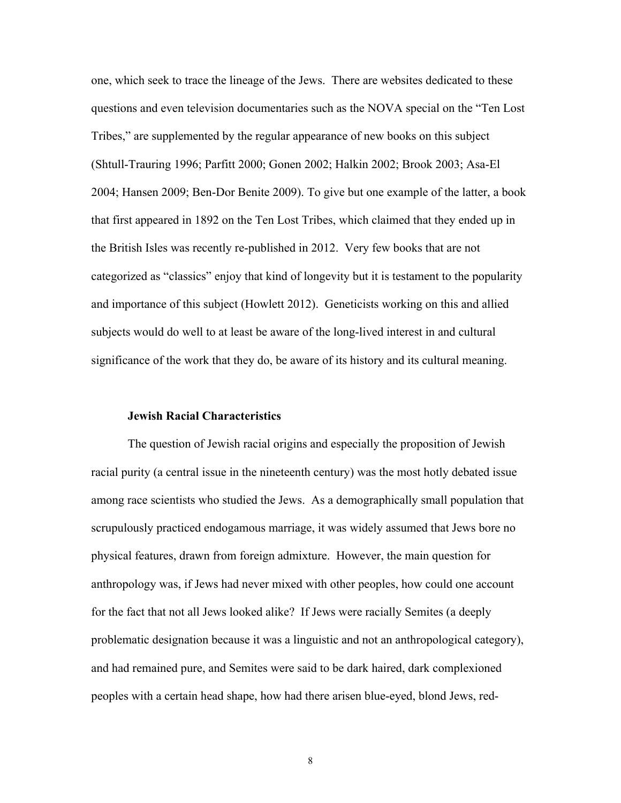one, which seek to trace the lineage of the Jews. There are websites dedicated to these questions and even television documentaries such as the NOVA special on the "Ten Lost Tribes," are supplemented by the regular appearance of new books on this subject (Shtull-Trauring 1996; Parfitt 2000; Gonen 2002; Halkin 2002; Brook 2003; Asa-El 2004; Hansen 2009; Ben-Dor Benite 2009). To give but one example of the latter, a book that first appeared in 1892 on the Ten Lost Tribes, which claimed that they ended up in the British Isles was recently re-published in 2012. Very few books that are not categorized as "classics" enjoy that kind of longevity but it is testament to the popularity and importance of this subject (Howlett 2012). Geneticists working on this and allied subjects would do well to at least be aware of the long-lived interest in and cultural significance of the work that they do, be aware of its history and its cultural meaning.

## **Jewish Racial Characteristics**

The question of Jewish racial origins and especially the proposition of Jewish racial purity (a central issue in the nineteenth century) was the most hotly debated issue among race scientists who studied the Jews. As a demographically small population that scrupulously practiced endogamous marriage, it was widely assumed that Jews bore no physical features, drawn from foreign admixture. However, the main question for anthropology was, if Jews had never mixed with other peoples, how could one account for the fact that not all Jews looked alike? If Jews were racially Semites (a deeply problematic designation because it was a linguistic and not an anthropological category), and had remained pure, and Semites were said to be dark haired, dark complexioned peoples with a certain head shape, how had there arisen blue-eyed, blond Jews, red-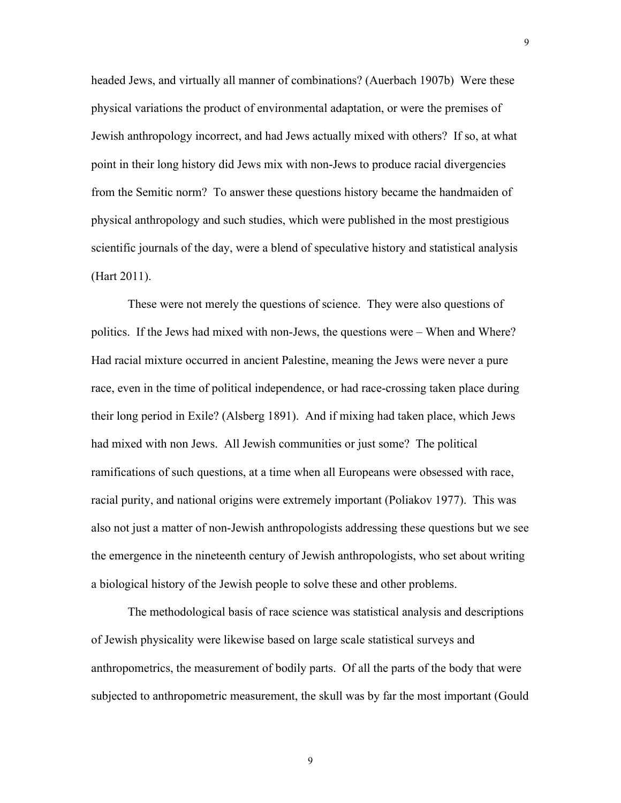headed Jews, and virtually all manner of combinations? (Auerbach 1907b) Were these physical variations the product of environmental adaptation, or were the premises of Jewish anthropology incorrect, and had Jews actually mixed with others? If so, at what point in their long history did Jews mix with non-Jews to produce racial divergencies from the Semitic norm? To answer these questions history became the handmaiden of physical anthropology and such studies, which were published in the most prestigious scientific journals of the day, were a blend of speculative history and statistical analysis (Hart 2011).

These were not merely the questions of science. They were also questions of politics. If the Jews had mixed with non-Jews, the questions were – When and Where? Had racial mixture occurred in ancient Palestine, meaning the Jews were never a pure race, even in the time of political independence, or had race-crossing taken place during their long period in Exile? (Alsberg 1891). And if mixing had taken place, which Jews had mixed with non Jews. All Jewish communities or just some? The political ramifications of such questions, at a time when all Europeans were obsessed with race, racial purity, and national origins were extremely important (Poliakov 1977). This was also not just a matter of non-Jewish anthropologists addressing these questions but we see the emergence in the nineteenth century of Jewish anthropologists, who set about writing a biological history of the Jewish people to solve these and other problems.

The methodological basis of race science was statistical analysis and descriptions of Jewish physicality were likewise based on large scale statistical surveys and anthropometrics, the measurement of bodily parts. Of all the parts of the body that were subjected to anthropometric measurement, the skull was by far the most important (Gould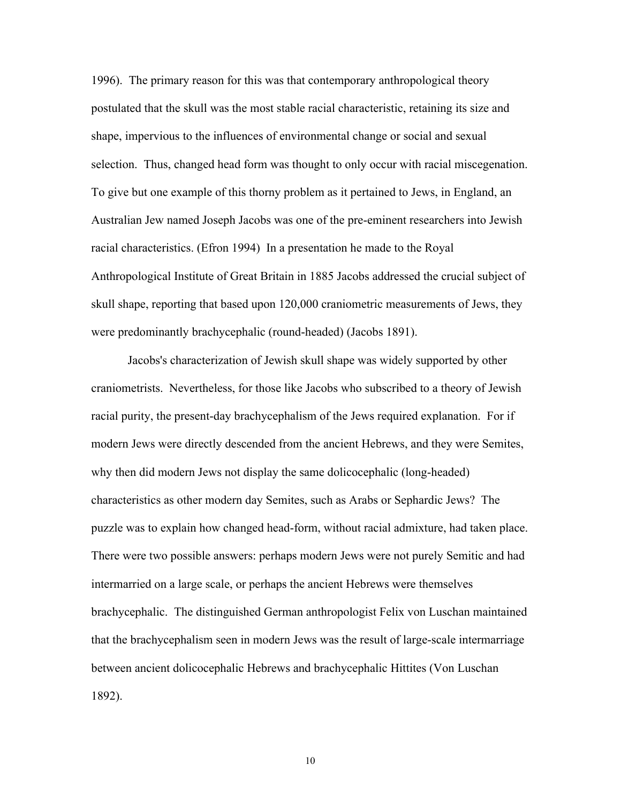1996). The primary reason for this was that contemporary anthropological theory postulated that the skull was the most stable racial characteristic, retaining its size and shape, impervious to the influences of environmental change or social and sexual selection. Thus, changed head form was thought to only occur with racial miscegenation. To give but one example of this thorny problem as it pertained to Jews, in England, an Australian Jew named Joseph Jacobs was one of the pre-eminent researchers into Jewish racial characteristics. (Efron 1994) In a presentation he made to the Royal Anthropological Institute of Great Britain in 1885 Jacobs addressed the crucial subject of skull shape, reporting that based upon 120,000 craniometric measurements of Jews, they were predominantly brachycephalic (round-headed) (Jacobs 1891).

Jacobs's characterization of Jewish skull shape was widely supported by other craniometrists. Nevertheless, for those like Jacobs who subscribed to a theory of Jewish racial purity, the present-day brachycephalism of the Jews required explanation. For if modern Jews were directly descended from the ancient Hebrews, and they were Semites, why then did modern Jews not display the same dolicocephalic (long-headed) characteristics as other modern day Semites, such as Arabs or Sephardic Jews? The puzzle was to explain how changed head-form, without racial admixture, had taken place. There were two possible answers: perhaps modern Jews were not purely Semitic and had intermarried on a large scale, or perhaps the ancient Hebrews were themselves brachycephalic. The distinguished German anthropologist Felix von Luschan maintained that the brachycephalism seen in modern Jews was the result of large-scale intermarriage between ancient dolicocephalic Hebrews and brachycephalic Hittites (Von Luschan 1892).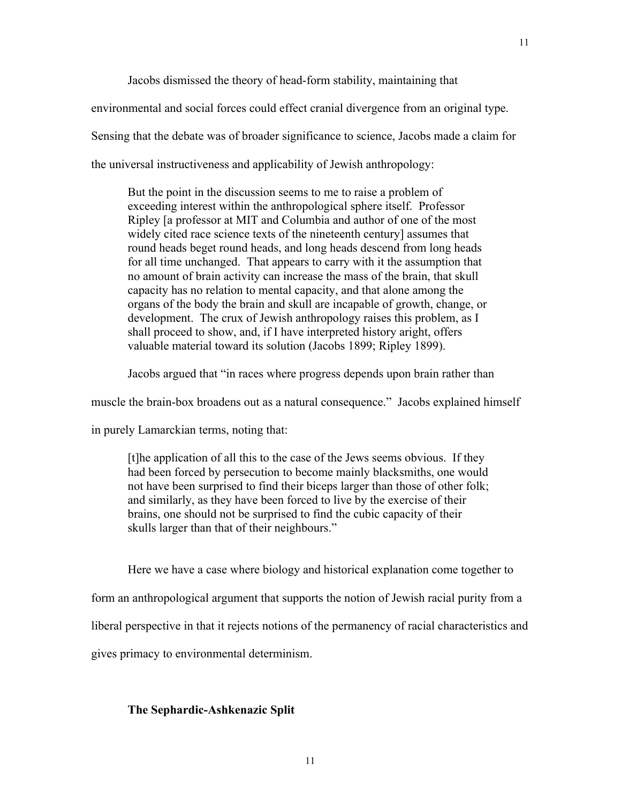Jacobs dismissed the theory of head-form stability, maintaining that

environmental and social forces could effect cranial divergence from an original type. Sensing that the debate was of broader significance to science, Jacobs made a claim for the universal instructiveness and applicability of Jewish anthropology:

But the point in the discussion seems to me to raise a problem of exceeding interest within the anthropological sphere itself. Professor Ripley [a professor at MIT and Columbia and author of one of the most widely cited race science texts of the nineteenth century] assumes that round heads beget round heads, and long heads descend from long heads for all time unchanged. That appears to carry with it the assumption that no amount of brain activity can increase the mass of the brain, that skull capacity has no relation to mental capacity, and that alone among the organs of the body the brain and skull are incapable of growth, change, or development. The crux of Jewish anthropology raises this problem, as I shall proceed to show, and, if I have interpreted history aright, offers valuable material toward its solution (Jacobs 1899; Ripley 1899).

Jacobs argued that "in races where progress depends upon brain rather than

muscle the brain-box broadens out as a natural consequence." Jacobs explained himself

in purely Lamarckian terms, noting that:

[t]he application of all this to the case of the Jews seems obvious. If they had been forced by persecution to become mainly blacksmiths, one would not have been surprised to find their biceps larger than those of other folk; and similarly, as they have been forced to live by the exercise of their brains, one should not be surprised to find the cubic capacity of their skulls larger than that of their neighbours."

Here we have a case where biology and historical explanation come together to

form an anthropological argument that supports the notion of Jewish racial purity from a

liberal perspective in that it rejects notions of the permanency of racial characteristics and

gives primacy to environmental determinism.

## **The Sephardic-Ashkenazic Split**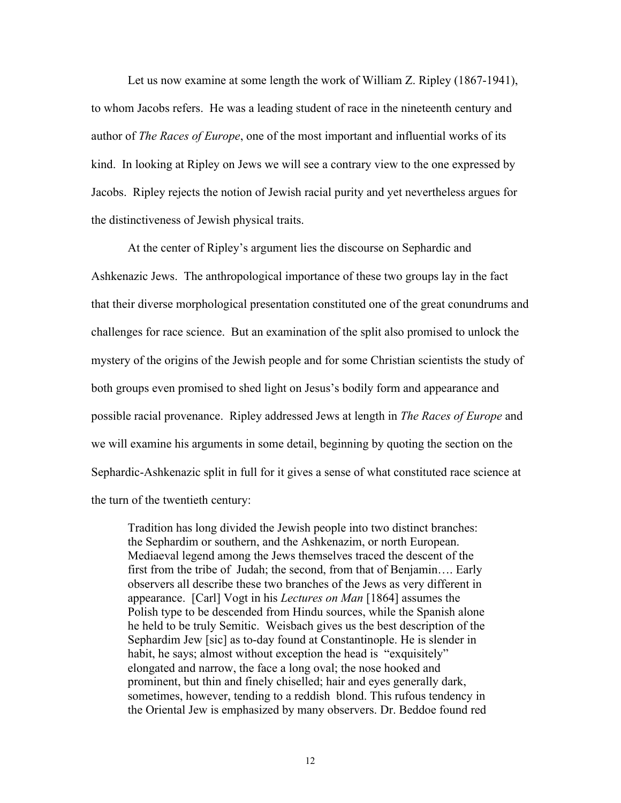Let us now examine at some length the work of William Z. Ripley (1867-1941), to whom Jacobs refers. He was a leading student of race in the nineteenth century and author of *The Races of Europe*, one of the most important and influential works of its kind. In looking at Ripley on Jews we will see a contrary view to the one expressed by Jacobs. Ripley rejects the notion of Jewish racial purity and yet nevertheless argues for the distinctiveness of Jewish physical traits.

At the center of Ripley's argument lies the discourse on Sephardic and Ashkenazic Jews. The anthropological importance of these two groups lay in the fact that their diverse morphological presentation constituted one of the great conundrums and challenges for race science. But an examination of the split also promised to unlock the mystery of the origins of the Jewish people and for some Christian scientists the study of both groups even promised to shed light on Jesus's bodily form and appearance and possible racial provenance. Ripley addressed Jews at length in *The Races of Europe* and we will examine his arguments in some detail, beginning by quoting the section on the Sephardic-Ashkenazic split in full for it gives a sense of what constituted race science at the turn of the twentieth century:

Tradition has long divided the Jewish people into two distinct branches: the Sephardim or southern, and the Ashkenazim, or north European. Mediaeval legend among the Jews themselves traced the descent of the first from the tribe of Judah; the second, from that of Benjamin…. Early observers all describe these two branches of the Jews as very different in appearance. [Carl] Vogt in his *Lectures on Man* [1864] assumes the Polish type to be descended from Hindu sources, while the Spanish alone he held to be truly Semitic. Weisbach gives us the best description of the Sephardim Jew [sic] as to-day found at Constantinople. He is slender in habit, he says; almost without exception the head is "exquisitely" elongated and narrow, the face a long oval; the nose hooked and prominent, but thin and finely chiselled; hair and eyes generally dark, sometimes, however, tending to a reddish blond. This rufous tendency in the Oriental Jew is emphasized by many observers. Dr. Beddoe found red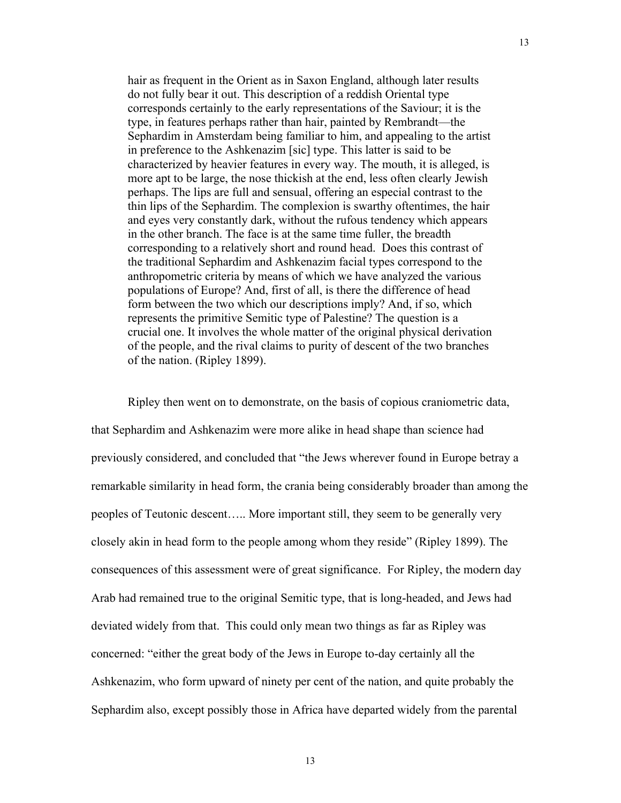hair as frequent in the Orient as in Saxon England, although later results do not fully bear it out. This description of a reddish Oriental type corresponds certainly to the early representations of the Saviour; it is the type, in features perhaps rather than hair, painted by Rembrandt—the Sephardim in Amsterdam being familiar to him, and appealing to the artist in preference to the Ashkenazim [sic] type. This latter is said to be characterized by heavier features in every way. The mouth, it is alleged, is more apt to be large, the nose thickish at the end, less often clearly Jewish perhaps. The lips are full and sensual, offering an especial contrast to the thin lips of the Sephardim. The complexion is swarthy oftentimes, the hair and eyes very constantly dark, without the rufous tendency which appears in the other branch. The face is at the same time fuller, the breadth corresponding to a relatively short and round head. Does this contrast of the traditional Sephardim and Ashkenazim facial types correspond to the anthropometric criteria by means of which we have analyzed the various populations of Europe? And, first of all, is there the difference of head form between the two which our descriptions imply? And, if so, which represents the primitive Semitic type of Palestine? The question is a crucial one. It involves the whole matter of the original physical derivation of the people, and the rival claims to purity of descent of the two branches of the nation. (Ripley 1899).

Ripley then went on to demonstrate, on the basis of copious craniometric data, that Sephardim and Ashkenazim were more alike in head shape than science had previously considered, and concluded that "the Jews wherever found in Europe betray a remarkable similarity in head form, the crania being considerably broader than among the peoples of Teutonic descent….. More important still, they seem to be generally very closely akin in head form to the people among whom they reside" (Ripley 1899). The consequences of this assessment were of great significance. For Ripley, the modern day Arab had remained true to the original Semitic type, that is long-headed, and Jews had deviated widely from that. This could only mean two things as far as Ripley was concerned: "either the great body of the Jews in Europe to-day certainly all the Ashkenazim, who form upward of ninety per cent of the nation, and quite probably the Sephardim also, except possibly those in Africa have departed widely from the parental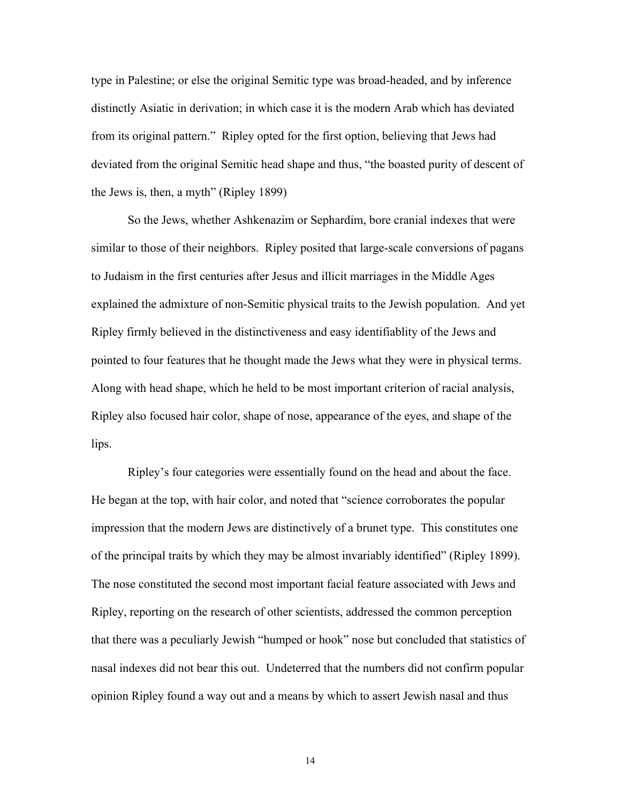type in Palestine; or else the original Semitic type was broad-headed, and by inference distinctly Asiatic in derivation; in which case it is the modern Arab which has deviated from its original pattern." Ripley opted for the first option, believing that Jews had deviated from the original Semitic head shape and thus, "the boasted purity of descent of the Jews is, then, a myth" (Ripley 1899)

So the Jews, whether Ashkenazim or Sephardim, bore cranial indexes that were similar to those of their neighbors. Ripley posited that large-scale conversions of pagans to Judaism in the first centuries after Jesus and illicit marriages in the Middle Ages explained the admixture of non-Semitic physical traits to the Jewish population. And yet Ripley firmly believed in the distinctiveness and easy identifiablity of the Jews and pointed to four features that he thought made the Jews what they were in physical terms. Along with head shape, which he held to be most important criterion of racial analysis, Ripley also focused hair color, shape of nose, appearance of the eyes, and shape of the lips.

Ripley's four categories were essentially found on the head and about the face. He began at the top, with hair color, and noted that "science corroborates the popular impression that the modern Jews are distinctively of a brunet type. This constitutes one of the principal traits by which they may be almost invariably identified" (Ripley 1899). The nose constituted the second most important facial feature associated with Jews and Ripley, reporting on the research of other scientists, addressed the common perception that there was a peculiarly Jewish "humped or hook" nose but concluded that statistics of nasal indexes did not bear this out. Undeterred that the numbers did not confirm popular opinion Ripley found a way out and a means by which to assert Jewish nasal and thus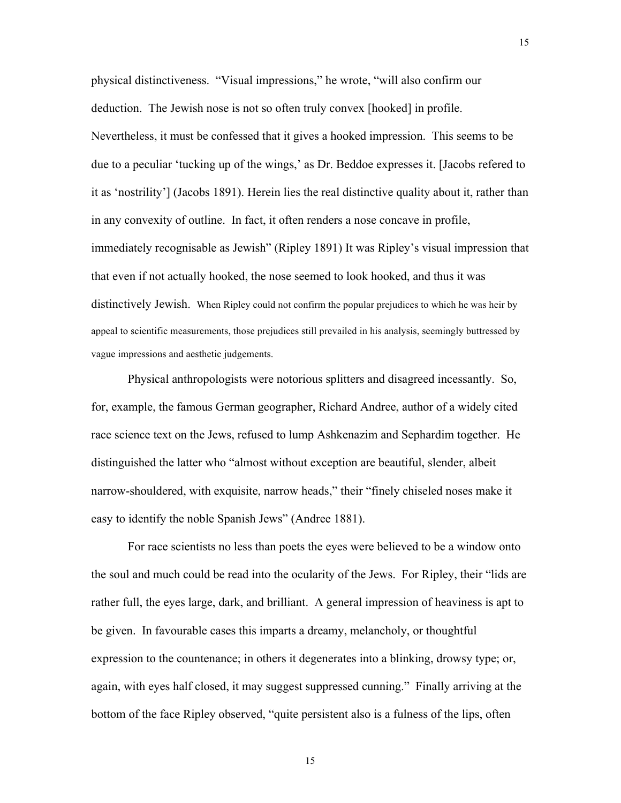physical distinctiveness. "Visual impressions," he wrote, "will also confirm our deduction. The Jewish nose is not so often truly convex [hooked] in profile. Nevertheless, it must be confessed that it gives a hooked impression. This seems to be due to a peculiar 'tucking up of the wings,' as Dr. Beddoe expresses it. [Jacobs refered to it as 'nostrility'] (Jacobs 1891). Herein lies the real distinctive quality about it, rather than in any convexity of outline. In fact, it often renders a nose concave in profile, immediately recognisable as Jewish" (Ripley 1891) It was Ripley's visual impression that that even if not actually hooked, the nose seemed to look hooked, and thus it was distinctively Jewish. When Ripley could not confirm the popular prejudices to which he was heir by appeal to scientific measurements, those prejudices still prevailed in his analysis, seemingly buttressed by vague impressions and aesthetic judgements.

15

Physical anthropologists were notorious splitters and disagreed incessantly. So, for, example, the famous German geographer, Richard Andree, author of a widely cited race science text on the Jews, refused to lump Ashkenazim and Sephardim together. He distinguished the latter who "almost without exception are beautiful, slender, albeit narrow-shouldered, with exquisite, narrow heads," their "finely chiseled noses make it easy to identify the noble Spanish Jews" (Andree 1881).

For race scientists no less than poets the eyes were believed to be a window onto the soul and much could be read into the ocularity of the Jews. For Ripley, their "lids are rather full, the eyes large, dark, and brilliant. A general impression of heaviness is apt to be given. In favourable cases this imparts a dreamy, melancholy, or thoughtful expression to the countenance; in others it degenerates into a blinking, drowsy type; or, again, with eyes half closed, it may suggest suppressed cunning." Finally arriving at the bottom of the face Ripley observed, "quite persistent also is a fulness of the lips, often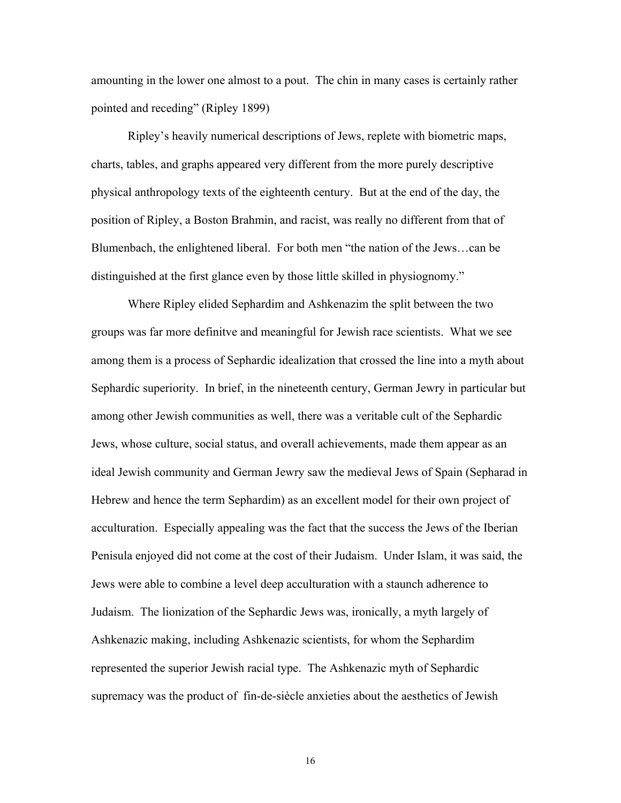amounting in the lower one almost to a pout. The chin in many cases is certainly rather pointed and receding" (Ripley 1899)

Ripley's heavily numerical descriptions of Jews, replete with biometric maps, charts, tables, and graphs appeared very different from the more purely descriptive physical anthropology texts of the eighteenth century. But at the end of the day, the position of Ripley, a Boston Brahmin, and racist, was really no different from that of Blumenbach, the enlightened liberal. For both men "the nation of the Jews…can be distinguished at the first glance even by those little skilled in physiognomy."

Where Ripley elided Sephardim and Ashkenazim the split between the two groups was far more definitve and meaningful for Jewish race scientists. What we see among them is a process of Sephardic idealization that crossed the line into a myth about Sephardic superiority. In brief, in the nineteenth century, German Jewry in particular but among other Jewish communities as well, there was a veritable cult of the Sephardic Jews, whose culture, social status, and overall achievements, made them appear as an ideal Jewish community and German Jewry saw the medieval Jews of Spain (Sepharad in Hebrew and hence the term Sephardim) as an excellent model for their own project of acculturation. Especially appealing was the fact that the success the Jews of the Iberian Penisula enjoyed did not come at the cost of their Judaism. Under Islam, it was said, the Jews were able to combine a level deep acculturation with a staunch adherence to Judaism. The lionization of the Sephardic Jews was, ironically, a myth largely of Ashkenazic making, including Ashkenazic scientists, for whom the Sephardim represented the superior Jewish racial type. The Ashkenazic myth of Sephardic supremacy was the product of fin-de-siècle anxieties about the aesthetics of Jewish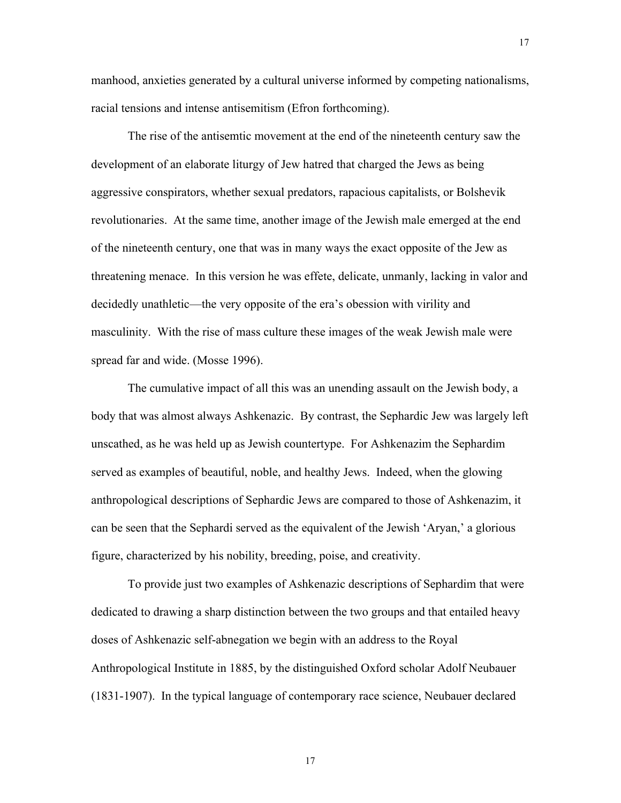manhood, anxieties generated by a cultural universe informed by competing nationalisms, racial tensions and intense antisemitism (Efron forthcoming).

17

The rise of the antisemtic movement at the end of the nineteenth century saw the development of an elaborate liturgy of Jew hatred that charged the Jews as being aggressive conspirators, whether sexual predators, rapacious capitalists, or Bolshevik revolutionaries. At the same time, another image of the Jewish male emerged at the end of the nineteenth century, one that was in many ways the exact opposite of the Jew as threatening menace. In this version he was effete, delicate, unmanly, lacking in valor and decidedly unathletic—the very opposite of the era's obession with virility and masculinity. With the rise of mass culture these images of the weak Jewish male were spread far and wide. (Mosse 1996).

The cumulative impact of all this was an unending assault on the Jewish body, a body that was almost always Ashkenazic. By contrast, the Sephardic Jew was largely left unscathed, as he was held up as Jewish countertype. For Ashkenazim the Sephardim served as examples of beautiful, noble, and healthy Jews. Indeed, when the glowing anthropological descriptions of Sephardic Jews are compared to those of Ashkenazim, it can be seen that the Sephardi served as the equivalent of the Jewish 'Aryan,' a glorious figure, characterized by his nobility, breeding, poise, and creativity.

To provide just two examples of Ashkenazic descriptions of Sephardim that were dedicated to drawing a sharp distinction between the two groups and that entailed heavy doses of Ashkenazic self-abnegation we begin with an address to the Royal Anthropological Institute in 1885, by the distinguished Oxford scholar Adolf Neubauer (1831-1907). In the typical language of contemporary race science, Neubauer declared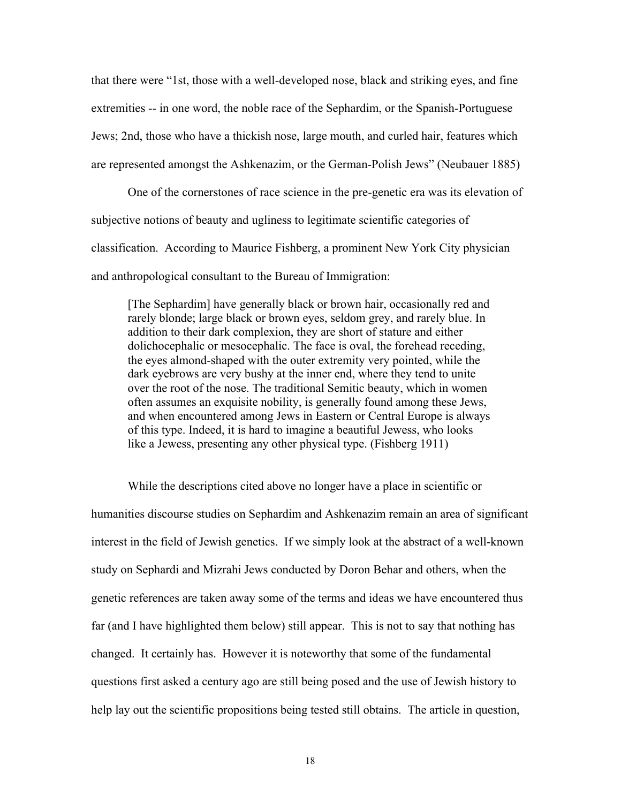that there were "1st, those with a well-developed nose, black and striking eyes, and fine extremities -- in one word, the noble race of the Sephardim, or the Spanish-Portuguese Jews; 2nd, those who have a thickish nose, large mouth, and curled hair, features which are represented amongst the Ashkenazim, or the German-Polish Jews" (Neubauer 1885)

One of the cornerstones of race science in the pre-genetic era was its elevation of subjective notions of beauty and ugliness to legitimate scientific categories of classification. According to Maurice Fishberg, a prominent New York City physician and anthropological consultant to the Bureau of Immigration:

[The Sephardim] have generally black or brown hair, occasionally red and rarely blonde; large black or brown eyes, seldom grey, and rarely blue. In addition to their dark complexion, they are short of stature and either dolichocephalic or mesocephalic. The face is oval, the forehead receding, the eyes almond-shaped with the outer extremity very pointed, while the dark eyebrows are very bushy at the inner end, where they tend to unite over the root of the nose. The traditional Semitic beauty, which in women often assumes an exquisite nobility, is generally found among these Jews, and when encountered among Jews in Eastern or Central Europe is always of this type. Indeed, it is hard to imagine a beautiful Jewess, who looks like a Jewess, presenting any other physical type. (Fishberg 1911)

While the descriptions cited above no longer have a place in scientific or humanities discourse studies on Sephardim and Ashkenazim remain an area of significant interest in the field of Jewish genetics. If we simply look at the abstract of a well-known study on Sephardi and Mizrahi Jews conducted by Doron Behar and others, when the genetic references are taken away some of the terms and ideas we have encountered thus far (and I have highlighted them below) still appear. This is not to say that nothing has changed. It certainly has. However it is noteworthy that some of the fundamental questions first asked a century ago are still being posed and the use of Jewish history to help lay out the scientific propositions being tested still obtains. The article in question,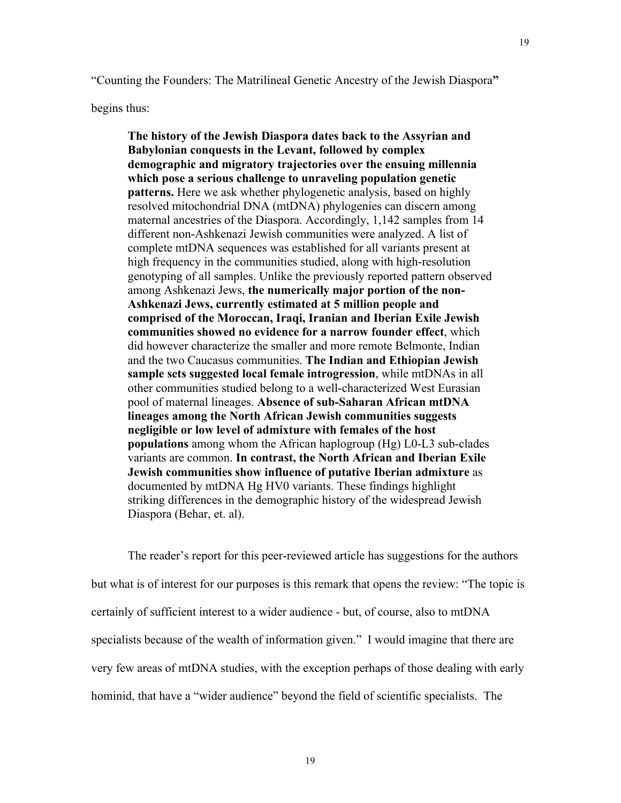begins thus:

**The history of the Jewish Diaspora dates back to the Assyrian and Babylonian conquests in the Levant, followed by complex demographic and migratory trajectories over the ensuing millennia which pose a serious challenge to unraveling population genetic patterns.** Here we ask whether phylogenetic analysis, based on highly resolved mitochondrial DNA (mtDNA) phylogenies can discern among maternal ancestries of the Diaspora. Accordingly, 1,142 samples from 14 different non-Ashkenazi Jewish communities were analyzed. A list of complete mtDNA sequences was established for all variants present at high frequency in the communities studied, along with high-resolution genotyping of all samples. Unlike the previously reported pattern observed among Ashkenazi Jews, **the numerically major portion of the non-Ashkenazi Jews, currently estimated at 5 million people and comprised of the Moroccan, Iraqi, Iranian and Iberian Exile Jewish communities showed no evidence for a narrow founder effect**, which did however characterize the smaller and more remote Belmonte, Indian and the two Caucasus communities. **The Indian and Ethiopian Jewish sample sets suggested local female introgression**, while mtDNAs in all other communities studied belong to a well-characterized West Eurasian pool of maternal lineages. **Absence of sub-Saharan African mtDNA lineages among the North African Jewish communities suggests negligible or low level of admixture with females of the host populations** among whom the African haplogroup (Hg) L0-L3 sub-clades variants are common. **In contrast, the North African and Iberian Exile Jewish communities show influence of putative Iberian admixture** as documented by mtDNA Hg HV0 variants. These findings highlight striking differences in the demographic history of the widespread Jewish Diaspora (Behar, et. al).

The reader's report for this peer-reviewed article has suggestions for the authors but what is of interest for our purposes is this remark that opens the review: "The topic is certainly of sufficient interest to a wider audience - but, of course, also to mtDNA specialists because of the wealth of information given." I would imagine that there are very few areas of mtDNA studies, with the exception perhaps of those dealing with early hominid, that have a "wider audience" beyond the field of scientific specialists. The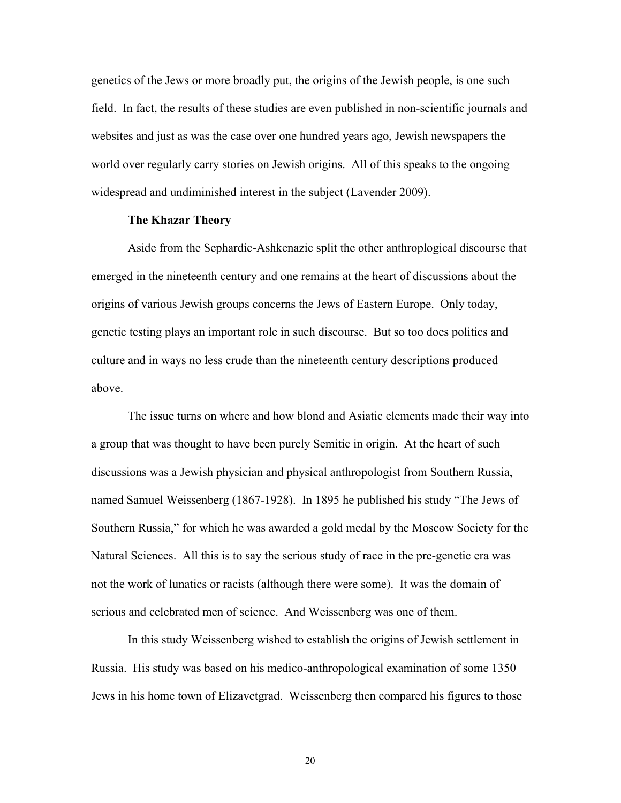genetics of the Jews or more broadly put, the origins of the Jewish people, is one such field. In fact, the results of these studies are even published in non-scientific journals and websites and just as was the case over one hundred years ago, Jewish newspapers the world over regularly carry stories on Jewish origins. All of this speaks to the ongoing widespread and undiminished interest in the subject (Lavender 2009).

### **The Khazar Theory**

Aside from the Sephardic-Ashkenazic split the other anthroplogical discourse that emerged in the nineteenth century and one remains at the heart of discussions about the origins of various Jewish groups concerns the Jews of Eastern Europe. Only today, genetic testing plays an important role in such discourse. But so too does politics and culture and in ways no less crude than the nineteenth century descriptions produced above.

The issue turns on where and how blond and Asiatic elements made their way into a group that was thought to have been purely Semitic in origin. At the heart of such discussions was a Jewish physician and physical anthropologist from Southern Russia, named Samuel Weissenberg (1867-1928). In 1895 he published his study "The Jews of Southern Russia," for which he was awarded a gold medal by the Moscow Society for the Natural Sciences. All this is to say the serious study of race in the pre-genetic era was not the work of lunatics or racists (although there were some). It was the domain of serious and celebrated men of science. And Weissenberg was one of them.

In this study Weissenberg wished to establish the origins of Jewish settlement in Russia. His study was based on his medico-anthropological examination of some 1350 Jews in his home town of Elizavetgrad. Weissenberg then compared his figures to those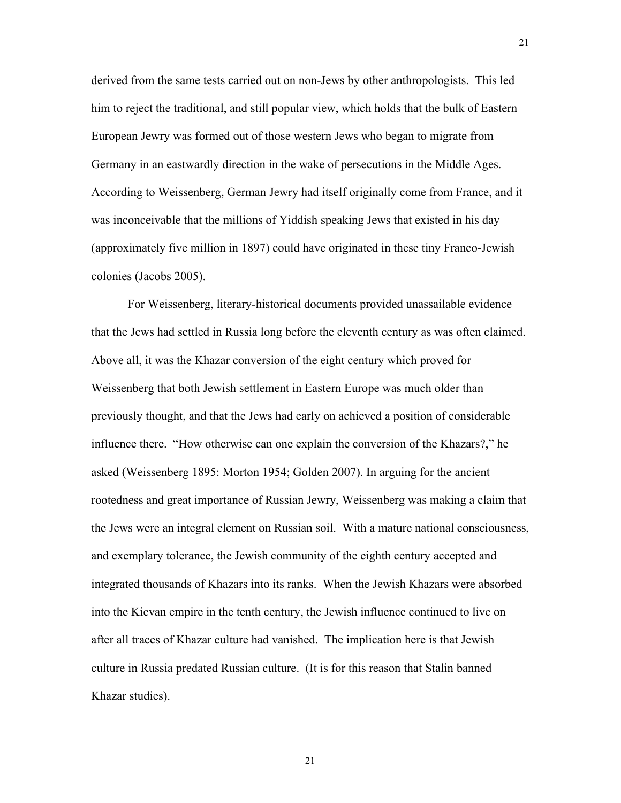derived from the same tests carried out on non-Jews by other anthropologists. This led him to reject the traditional, and still popular view, which holds that the bulk of Eastern European Jewry was formed out of those western Jews who began to migrate from Germany in an eastwardly direction in the wake of persecutions in the Middle Ages. According to Weissenberg, German Jewry had itself originally come from France, and it was inconceivable that the millions of Yiddish speaking Jews that existed in his day (approximately five million in 1897) could have originated in these tiny Franco-Jewish colonies (Jacobs 2005).

For Weissenberg, literary-historical documents provided unassailable evidence that the Jews had settled in Russia long before the eleventh century as was often claimed. Above all, it was the Khazar conversion of the eight century which proved for Weissenberg that both Jewish settlement in Eastern Europe was much older than previously thought, and that the Jews had early on achieved a position of considerable influence there. "How otherwise can one explain the conversion of the Khazars?," he asked (Weissenberg 1895: Morton 1954; Golden 2007). In arguing for the ancient rootedness and great importance of Russian Jewry, Weissenberg was making a claim that the Jews were an integral element on Russian soil. With a mature national consciousness, and exemplary tolerance, the Jewish community of the eighth century accepted and integrated thousands of Khazars into its ranks. When the Jewish Khazars were absorbed into the Kievan empire in the tenth century, the Jewish influence continued to live on after all traces of Khazar culture had vanished. The implication here is that Jewish culture in Russia predated Russian culture. (It is for this reason that Stalin banned Khazar studies).

21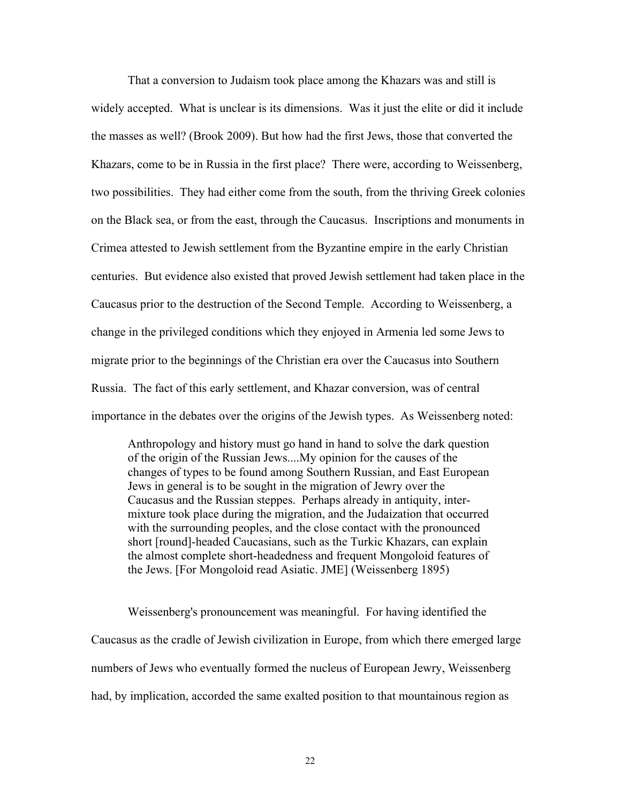That a conversion to Judaism took place among the Khazars was and still is widely accepted. What is unclear is its dimensions. Was it just the elite or did it include the masses as well? (Brook 2009). But how had the first Jews, those that converted the Khazars, come to be in Russia in the first place? There were, according to Weissenberg, two possibilities. They had either come from the south, from the thriving Greek colonies on the Black sea, or from the east, through the Caucasus. Inscriptions and monuments in Crimea attested to Jewish settlement from the Byzantine empire in the early Christian centuries. But evidence also existed that proved Jewish settlement had taken place in the Caucasus prior to the destruction of the Second Temple. According to Weissenberg, a change in the privileged conditions which they enjoyed in Armenia led some Jews to migrate prior to the beginnings of the Christian era over the Caucasus into Southern Russia. The fact of this early settlement, and Khazar conversion, was of central importance in the debates over the origins of the Jewish types. As Weissenberg noted:

Anthropology and history must go hand in hand to solve the dark question of the origin of the Russian Jews....My opinion for the causes of the changes of types to be found among Southern Russian, and East European Jews in general is to be sought in the migration of Jewry over the Caucasus and the Russian steppes. Perhaps already in antiquity, intermixture took place during the migration, and the Judaization that occurred with the surrounding peoples, and the close contact with the pronounced short [round]-headed Caucasians, such as the Turkic Khazars, can explain the almost complete short-headedness and frequent Mongoloid features of the Jews. [For Mongoloid read Asiatic. JME] (Weissenberg 1895)

Weissenberg's pronouncement was meaningful. For having identified the Caucasus as the cradle of Jewish civilization in Europe, from which there emerged large numbers of Jews who eventually formed the nucleus of European Jewry, Weissenberg had, by implication, accorded the same exalted position to that mountainous region as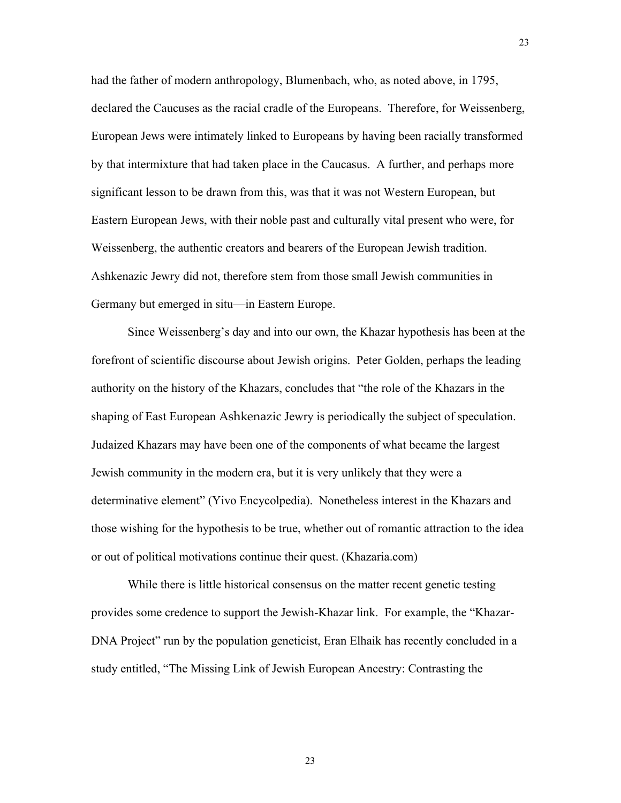had the father of modern anthropology, Blumenbach, who, as noted above, in 1795, declared the Caucuses as the racial cradle of the Europeans. Therefore, for Weissenberg, European Jews were intimately linked to Europeans by having been racially transformed by that intermixture that had taken place in the Caucasus. A further, and perhaps more significant lesson to be drawn from this, was that it was not Western European, but Eastern European Jews, with their noble past and culturally vital present who were, for Weissenberg, the authentic creators and bearers of the European Jewish tradition. Ashkenazic Jewry did not, therefore stem from those small Jewish communities in Germany but emerged in situ—in Eastern Europe.

23

Since Weissenberg's day and into our own, the Khazar hypothesis has been at the forefront of scientific discourse about Jewish origins. Peter Golden, perhaps the leading authority on the history of the Khazars, concludes that "the role of the Khazars in the shaping of East European Ashkenazic Jewry is periodically the subject of speculation. Judaized Khazars may have been one of the components of what became the largest Jewish community in the modern era, but it is very unlikely that they were a determinative element" (Yivo Encycolpedia). Nonetheless interest in the Khazars and those wishing for the hypothesis to be true, whether out of romantic attraction to the idea or out of political motivations continue their quest. (Khazaria.com)

While there is little historical consensus on the matter recent genetic testing provides some credence to support the Jewish-Khazar link. For example, the "Khazar-DNA Project" run by the population geneticist, Eran Elhaik has recently concluded in a study entitled, "The Missing Link of Jewish European Ancestry: Contrasting the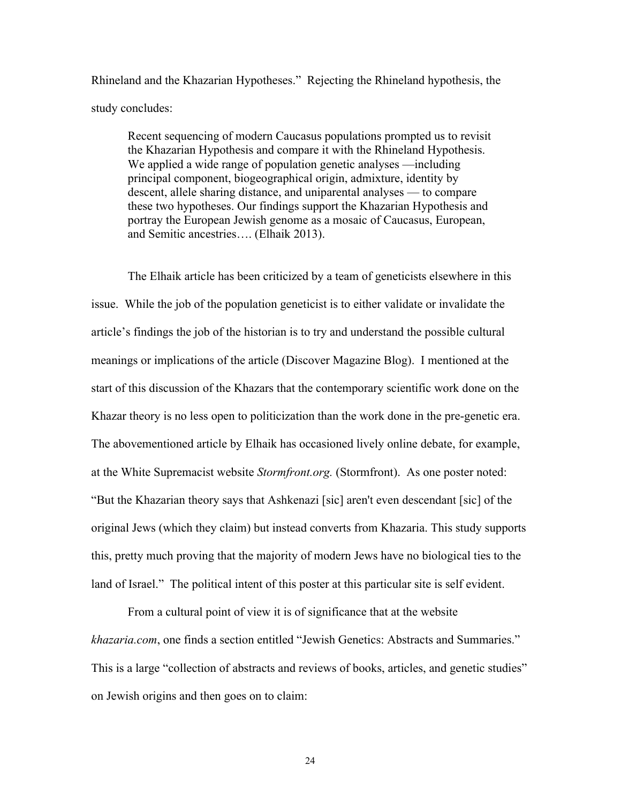Rhineland and the Khazarian Hypotheses." Rejecting the Rhineland hypothesis, the study concludes:

Recent sequencing of modern Caucasus populations prompted us to revisit the Khazarian Hypothesis and compare it with the Rhineland Hypothesis. We applied a wide range of population genetic analyses —including principal component, biogeographical origin, admixture, identity by descent, allele sharing distance, and uniparental analyses — to compare these two hypotheses. Our findings support the Khazarian Hypothesis and portray the European Jewish genome as a mosaic of Caucasus, European, and Semitic ancestries…. (Elhaik 2013).

The Elhaik article has been criticized by a team of geneticists elsewhere in this issue. While the job of the population geneticist is to either validate or invalidate the article's findings the job of the historian is to try and understand the possible cultural meanings or implications of the article (Discover Magazine Blog). I mentioned at the start of this discussion of the Khazars that the contemporary scientific work done on the Khazar theory is no less open to politicization than the work done in the pre-genetic era. The abovementioned article by Elhaik has occasioned lively online debate, for example, at the White Supremacist website *Stormfront.org.* (Stormfront). As one poster noted: "But the Khazarian theory says that Ashkenazi [sic] aren't even descendant [sic] of the original Jews (which they claim) but instead converts from Khazaria. This study supports this, pretty much proving that the majority of modern Jews have no biological ties to the land of Israel." The political intent of this poster at this particular site is self evident.

From a cultural point of view it is of significance that at the website *khazaria.com*, one finds a section entitled "Jewish Genetics: Abstracts and Summaries." This is a large "collection of abstracts and reviews of books, articles, and genetic studies" on Jewish origins and then goes on to claim: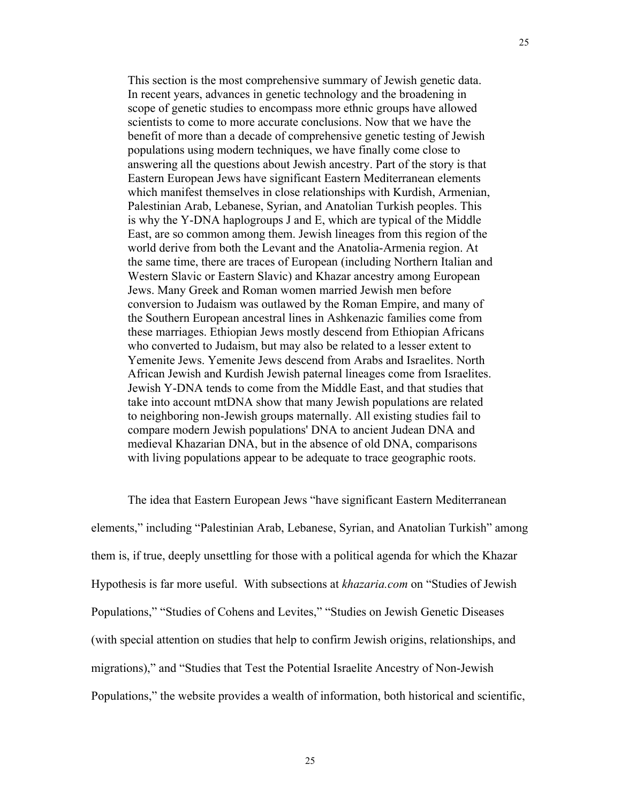This section is the most comprehensive summary of Jewish genetic data. In recent years, advances in genetic technology and the broadening in scope of genetic studies to encompass more ethnic groups have allowed scientists to come to more accurate conclusions. Now that we have the benefit of more than a decade of comprehensive genetic testing of Jewish populations using modern techniques, we have finally come close to answering all the questions about Jewish ancestry. Part of the story is that Eastern European Jews have significant Eastern Mediterranean elements which manifest themselves in close relationships with Kurdish, Armenian, Palestinian Arab, Lebanese, Syrian, and Anatolian Turkish peoples. This is why the Y-DNA haplogroups J and E, which are typical of the Middle East, are so common among them. Jewish lineages from this region of the world derive from both the Levant and the Anatolia-Armenia region. At the same time, there are traces of European (including Northern Italian and Western Slavic or Eastern Slavic) and Khazar ancestry among European Jews. Many Greek and Roman women married Jewish men before conversion to Judaism was outlawed by the Roman Empire, and many of the Southern European ancestral lines in Ashkenazic families come from these marriages. Ethiopian Jews mostly descend from Ethiopian Africans who converted to Judaism, but may also be related to a lesser extent to Yemenite Jews. Yemenite Jews descend from Arabs and Israelites. North African Jewish and Kurdish Jewish paternal lineages come from Israelites. Jewish Y-DNA tends to come from the Middle East, and that studies that take into account mtDNA show that many Jewish populations are related to neighboring non-Jewish groups maternally. All existing studies fail to compare modern Jewish populations' DNA to ancient Judean DNA and medieval Khazarian DNA, but in the absence of old DNA, comparisons with living populations appear to be adequate to trace geographic roots.

The idea that Eastern European Jews "have significant Eastern Mediterranean elements," including "Palestinian Arab, Lebanese, Syrian, and Anatolian Turkish" among them is, if true, deeply unsettling for those with a political agenda for which the Khazar Hypothesis is far more useful. With subsections at *khazaria.com* on "Studies of Jewish Populations," "Studies of Cohens and Levites," "Studies on Jewish Genetic Diseases (with special attention on studies that help to confirm Jewish origins, relationships, and migrations)," and "Studies that Test the Potential Israelite Ancestry of Non-Jewish Populations," the website provides a wealth of information, both historical and scientific,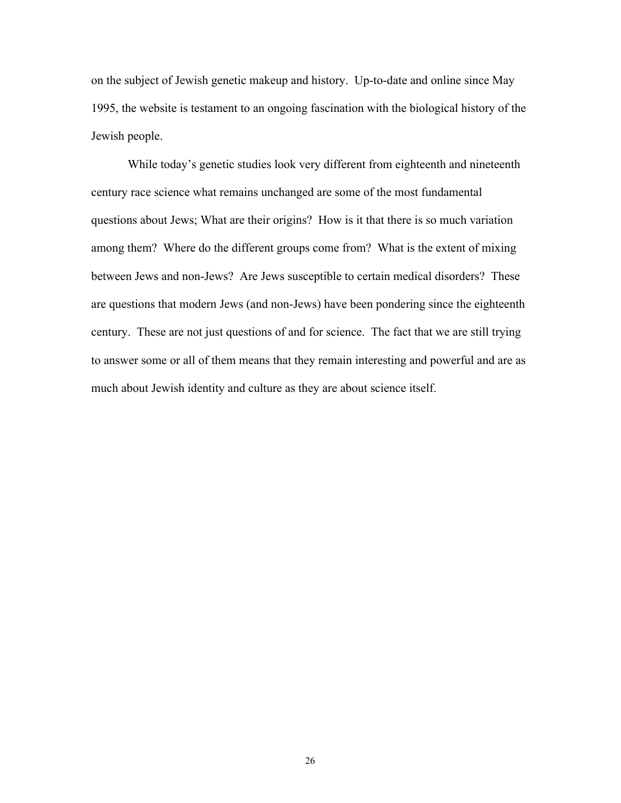on the subject of Jewish genetic makeup and history. Up-to-date and online since May 1995, the website is testament to an ongoing fascination with the biological history of the Jewish people.

While today's genetic studies look very different from eighteenth and nineteenth century race science what remains unchanged are some of the most fundamental questions about Jews; What are their origins? How is it that there is so much variation among them? Where do the different groups come from? What is the extent of mixing between Jews and non-Jews? Are Jews susceptible to certain medical disorders? These are questions that modern Jews (and non-Jews) have been pondering since the eighteenth century. These are not just questions of and for science. The fact that we are still trying to answer some or all of them means that they remain interesting and powerful and are as much about Jewish identity and culture as they are about science itself.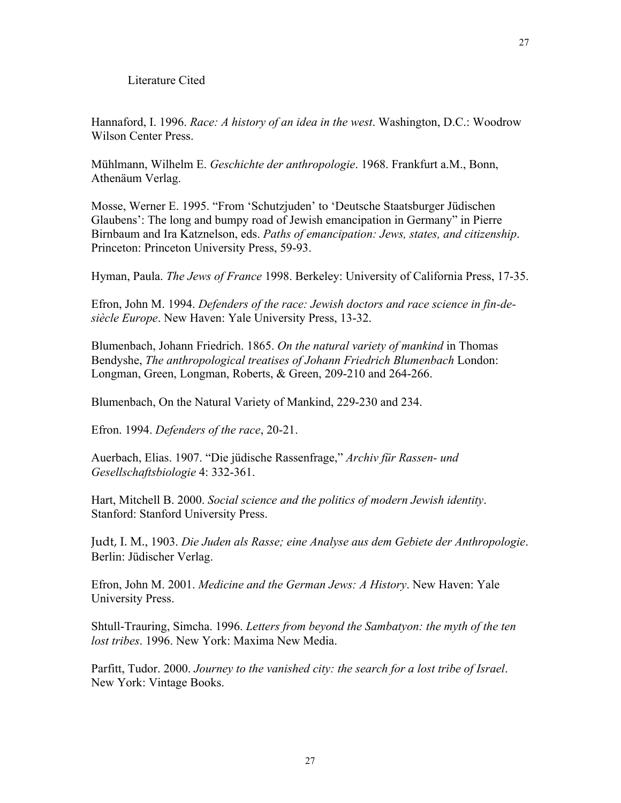#### Literature Cited

Hannaford, I. 1996. *Race: A history of an idea in the west*. Washington, D.C.: Woodrow Wilson Center Press.

Mühlmann, Wilhelm E. *Geschichte der anthropologie*. 1968. Frankfurt a.M., Bonn, Athenäum Verlag.

Mosse, Werner E. 1995. "From 'Schutzjuden' to 'Deutsche Staatsburger Jüdischen Glaubens': The long and bumpy road of Jewish emancipation in Germany" in Pierre Birnbaum and Ira Katznelson, eds. *Paths of emancipation: Jews, states, and citizenship*. Princeton: Princeton University Press, 59-93.

Hyman, Paula. *The Jews of France* 1998. Berkeley: University of California Press, 17-35.

Efron, John M. 1994. *Defenders of the race: Jewish doctors and race science in fin-desiècle Europe*. New Haven: Yale University Press, 13-32.

Blumenbach, Johann Friedrich. 1865. *On the natural variety of mankind* in Thomas Bendyshe, *The anthropological treatises of Johann Friedrich Blumenbach* London: Longman, Green, Longman, Roberts, & Green, 209-210 and 264-266.

Blumenbach, On the Natural Variety of Mankind, 229-230 and 234.

Efron. 1994. *Defenders of the race*, 20-21.

Auerbach, Elias. 1907. "Die jüdische Rassenfrage," *Archiv für Rassen- und Gesellschaftsbiologie* 4: 332-361.

Hart, Mitchell B. 2000. *Social science and the politics of modern Jewish identity*. Stanford: Stanford University Press.

Judt, I. M., 1903. *Die Juden als Rasse; eine Analyse aus dem Gebiete der Anthropologie*. Berlin: Jüdischer Verlag.

Efron, John M. 2001. *Medicine and the German Jews: A History*. New Haven: Yale University Press.

Shtull-Trauring, Simcha. 1996. *Letters from beyond the Sambatyon: the myth of the ten lost tribes*. 1996. New York: Maxima New Media.

Parfitt, Tudor. 2000. *Journey to the vanished city: the search for a lost tribe of Israel*. New York: Vintage Books.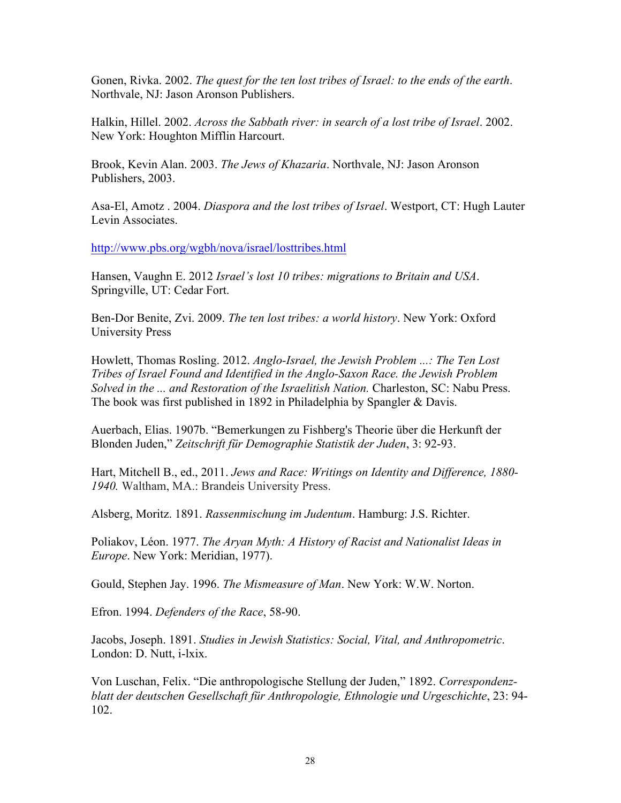Gonen, Rivka. 2002. *The quest for the ten lost tribes of Israel: to the ends of the earth*. Northvale, NJ: Jason Aronson Publishers.

Halkin, Hillel. 2002. *Across the Sabbath river: in search of a lost tribe of Israel*. 2002. New York: Houghton Mifflin Harcourt.

Brook, Kevin Alan. 2003. *The Jews of Khazaria*. Northvale, NJ: Jason Aronson Publishers, 2003.

Asa-El, Amotz . 2004. *Diaspora and the lost tribes of Israel*. Westport, CT: Hugh Lauter Levin Associates.

http://www.pbs.org/wgbh/nova/israel/losttribes.html

Hansen, Vaughn E. 2012 *Israel's lost 10 tribes: migrations to Britain and USA*. Springville, UT: Cedar Fort.

Ben-Dor Benite, Zvi. 2009. *The ten lost tribes: a world history*. New York: Oxford University Press

Howlett, Thomas Rosling. 2012. *Anglo-Israel, the Jewish Problem ...: The Ten Lost Tribes of Israel Found and Identified in the Anglo-Saxon Race. the Jewish Problem Solved in the ... and Restoration of the Israelitish Nation.* Charleston, SC: Nabu Press. The book was first published in 1892 in Philadelphia by Spangler & Davis.

Auerbach, Elias. 1907b. "Bemerkungen zu Fishberg's Theorie über die Herkunft der Blonden Juden," *Zeitschrift für Demographie Statistik der Juden*, 3: 92-93.

Hart, Mitchell B., ed., 2011. *Jews and Race: Writings on Identity and Difference, 1880- 1940.* Waltham, MA.: Brandeis University Press.

Alsberg, Moritz. 1891. *Rassenmischung im Judentum*. Hamburg: J.S. Richter.

Poliakov, Léon. 1977. *The Aryan Myth: A History of Racist and Nationalist Ideas in Europe*. New York: Meridian, 1977).

Gould, Stephen Jay. 1996. *The Mismeasure of Man*. New York: W.W. Norton.

Efron. 1994. *Defenders of the Race*, 58-90.

Jacobs, Joseph. 1891. *Studies in Jewish Statistics: Social, Vital, and Anthropometric*. London: D. Nutt, i-lxix.

Von Luschan, Felix. "Die anthropologische Stellung der Juden," 1892. *Correspondenzblatt der deutschen Gesellschaft für Anthropologie, Ethnologie und Urgeschichte*, 23: 94- 102.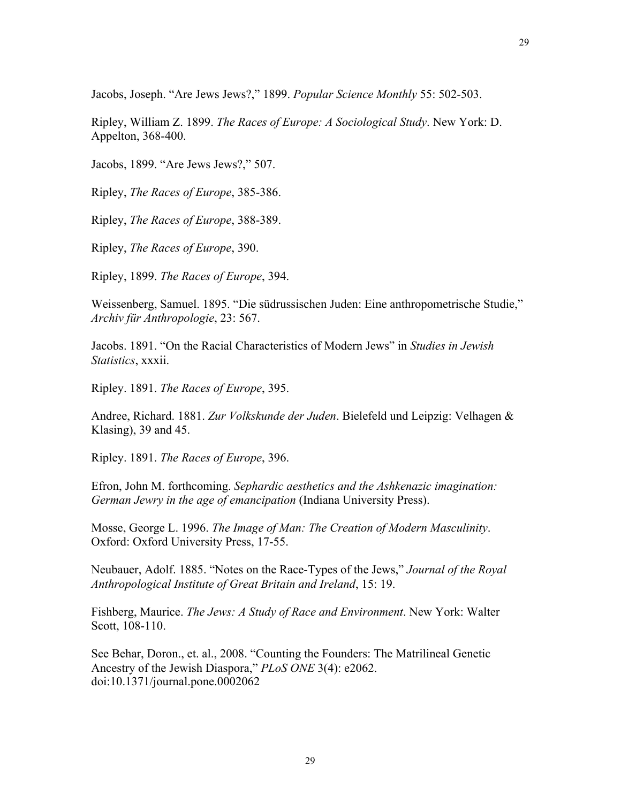Ripley, William Z. 1899. *The Races of Europe: A Sociological Study*. New York: D. Appelton, 368-400.

Jacobs, 1899. "Are Jews Jews?," 507.

Ripley, *The Races of Europe*, 385-386.

Ripley, *The Races of Europe*, 388-389.

Ripley, *The Races of Europe*, 390.

Ripley, 1899. *The Races of Europe*, 394.

Weissenberg, Samuel. 1895. "Die südrussischen Juden: Eine anthropometrische Studie," *Archiv für Anthropologie*, 23: 567.

Jacobs. 1891. "On the Racial Characteristics of Modern Jews" in *Studies in Jewish Statistics*, xxxii.

Ripley. 1891. *The Races of Europe*, 395.

Andree, Richard. 1881. *Zur Volkskunde der Juden*. Bielefeld und Leipzig: Velhagen & Klasing), 39 and 45.

Ripley. 1891. *The Races of Europe*, 396.

Efron, John M. forthcoming. *Sephardic aesthetics and the Ashkenazic imagination: German Jewry in the age of emancipation* (Indiana University Press).

Mosse, George L. 1996. *The Image of Man: The Creation of Modern Masculinity*. Oxford: Oxford University Press, 17-55.

Neubauer, Adolf. 1885. "Notes on the Race-Types of the Jews," *Journal of the Royal Anthropological Institute of Great Britain and Ireland*, 15: 19.

Fishberg, Maurice. *The Jews: A Study of Race and Environment*. New York: Walter Scott, 108-110.

See Behar, Doron., et. al., 2008. "Counting the Founders: The Matrilineal Genetic Ancestry of the Jewish Diaspora," *PLoS ONE* 3(4): e2062. doi:10.1371/journal.pone.0002062